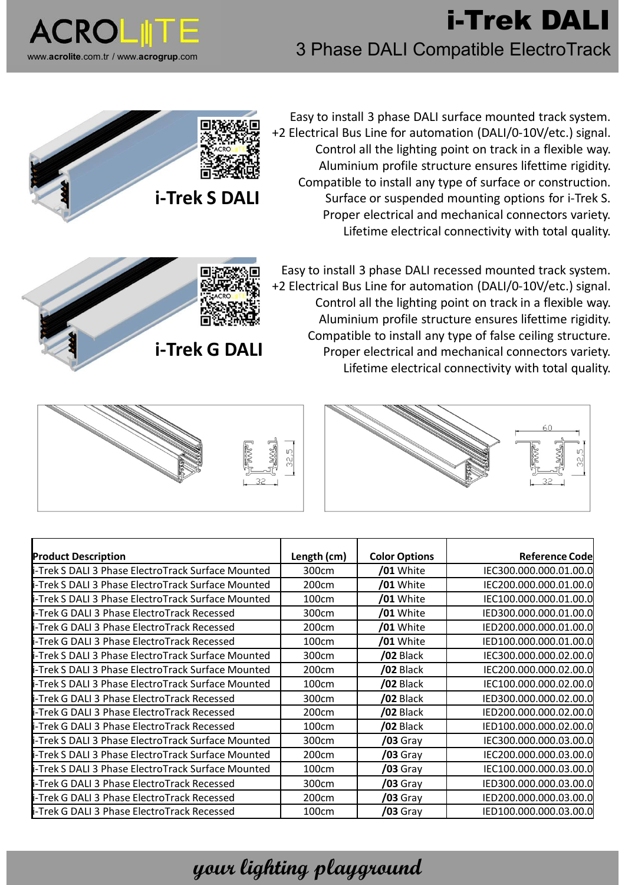

## **i-Trek DALI** 3 Phase DALI Compatible ElectroTrack



Easy to install 3 phase DALI surface mounted track system. +2 Electrical Bus Line for automation (DALI/0-10V/etc.) signal. Control all the lighting point on track in a flexible way. Aluminium profile structure ensures lifettime rigidity. Compatible to install any type of surface or construction. Surface or suspended mounting options for i-Trek S. Proper electrical and mechanical connectors variety. Lifetime electrical connectivity with total quality.



Easy to install 3 phase DALI recessed mounted track system. +2 Electrical Bus Line for automation (DALI/0-10V/etc.) signal. Control all the lighting point on track in a flexible way. Aluminium profile structure ensures lifettime rigidity. Compatible to install any type of false ceiling structure. Proper electrical and mechanical connectors variety. Lifetime electrical connectivity with total quality.





| <b>Product Description</b>                         | Length (cm) | <b>Color Options</b> | <b>Reference Codel</b> |
|----------------------------------------------------|-------------|----------------------|------------------------|
| i-Trek S DALI 3 Phase ElectroTrack Surface Mounted | 300cm       | /01 White            | IEC300.000.000.01.00.0 |
| i-Trek S DALI 3 Phase ElectroTrack Surface Mounted | 200cm       | /01 White            | IEC200.000.000.01.00.0 |
| i-Trek S DALI 3 Phase ElectroTrack Surface Mounted | 100cm       | /01 White            | IEC100.000.000.01.00.0 |
| i-Trek G DALI 3 Phase ElectroTrack Recessed        | 300cm       | /01 White            | IED300.000.000.01.00.0 |
| i-Trek G DALI 3 Phase ElectroTrack Recessed        | 200cm       | /01 White            | IED200.000.000.01.00.0 |
| i-Trek G DALI 3 Phase ElectroTrack Recessed        | 100cm       | /01 White            | IED100.000.000.01.00.0 |
| i-Trek S DALI 3 Phase ElectroTrack Surface Mounted | 300cm       | /02 Black            | IEC300.000.000.02.00.0 |
| i-Trek S DALI 3 Phase ElectroTrack Surface Mounted | 200cm       | /02 Black            | IEC200.000.000.02.00.0 |
| i-Trek S DALI 3 Phase ElectroTrack Surface Mounted | 100cm       | /02 Black            | IEC100.000.000.02.00.0 |
| i-Trek G DALI 3 Phase ElectroTrack Recessed        | 300cm       | /02 Black            | IED300.000.000.02.00.0 |
| i-Trek G DALI 3 Phase ElectroTrack Recessed        | 200cm       | /02 Black            | IED200.000.000.02.00.0 |
| i-Trek G DALI 3 Phase ElectroTrack Recessed        | 100cm       | /02 Black            | IED100.000.000.02.00.0 |
| i-Trek S DALI 3 Phase ElectroTrack Surface Mounted | 300cm       | $/03$ Gray           | IEC300.000.000.03.00.0 |
| i-Trek S DALI 3 Phase ElectroTrack Surface Mounted | 200cm       | $/03$ Gray           | IEC200.000.000.03.00.0 |
| i-Trek S DALI 3 Phase ElectroTrack Surface Mounted | 100cm       | $/03$ Gray           | IEC100.000.000.03.00.0 |
| i-Trek G DALI 3 Phase ElectroTrack Recessed        | 300cm       | <b>/03</b> Gray      | IED300.000.000.03.00.0 |
| i-Trek G DALI 3 Phase ElectroTrack Recessed        | 200cm       | $/03$ Gray           | IED200.000.000.03.00.0 |
| i-Trek G DALI 3 Phase ElectroTrack Recessed        | 100cm       | $/03$ Gray           | IED100.000.000.03.00.0 |

## **your lighting playground**